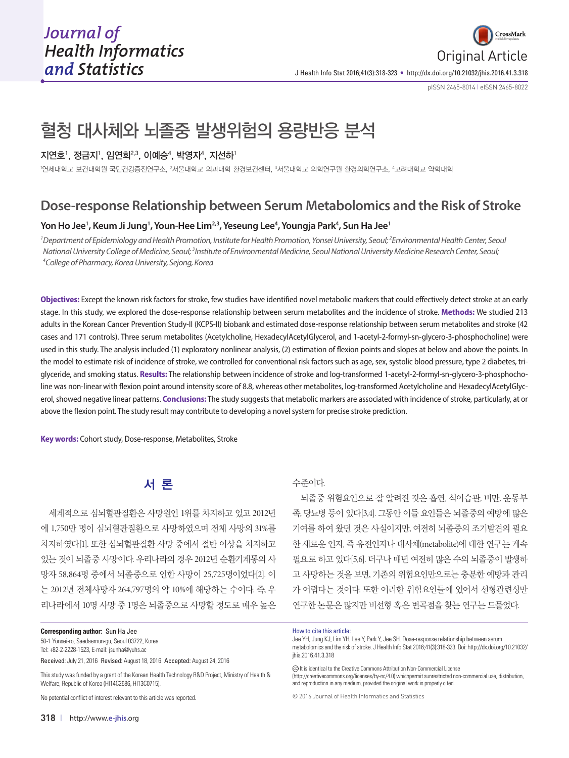

J Health Info Stat 2016;41(3):318-323 • http://dx.doi.org/10.21032/jhis.2016.41.3.318

pISSN 2465-8014 **|** eISSN 2465-8022

# 혈청 대사체와 뇌졸중 발생위험의 용량반응 분석

### 지연호', 정금지', 임연희<sup>2,3</sup>, 이예승<sup>4</sup>, 박영자<del>'</del>, 지선하'

'연세대학교 보건대학원 국민건강증진연구소, <sup>2</sup>서울대학교 의과대학 환경보건센터, <sup>3</sup>서울대학교 의학연구원 환경의학연구소, "고려대학교 약학대학

# **Dose-response Relationship between Serum Metabolomics and the Risk of Stroke**

## Yon Ho Jee<sup>1</sup>, Keum Ji Jung<sup>1</sup>, Youn-Hee Lim<sup>2,3</sup>, Yeseung Lee<sup>4</sup>, Youngja Park<sup>4</sup>, Sun Ha Jee<sup>1</sup>

<sup>1</sup> Department of Epidemiology and Health Promotion, Institute for Health Promotion, Yonsei University, Seoul; <sup>2</sup> Environmental Health Center, Seoul National University College of Medicine, Seoul; <sup>3</sup>Institute of Environmental Medicine, Seoul National University Medicine Research Center, Seoul;<br><sup>4</sup>College of Pharmacy Korea University Sejona, Korea *College of Pharmacy, Korea University, Sejong, Korea*

**Objectives:** Except the known risk factors for stroke, few studies have identified novel metabolic markers that could effectively detect stroke at an early stage. In this study, we explored the dose-response relationship between serum metabolites and the incidence of stroke. **Methods:** We studied 213 adults in the Korean Cancer Prevention Study-II (KCPS-II) biobank and estimated dose-response relationship between serum metabolites and stroke (42 cases and 171 controls). Three serum metabolites (Acetylcholine, HexadecylAcetylGlycerol, and 1-acetyl-2-formyl-sn-glycero-3-phosphocholine) were used in this study. The analysis included (1) exploratory nonlinear analysis, (2) estimation of flexion points and slopes at below and above the points. In the model to estimate risk of incidence of stroke, we controlled for conventional risk factors such as age, sex, systolic blood pressure, type 2 diabetes, triglyceride, and smoking status. **Results:** The relationship between incidence of stroke and log-transformed 1-acetyl-2-formyl-sn-glycero-3-phosphocholine was non-linear with flexion point around intensity score of 8.8, whereas other metabolites, log-transformed Acetylcholine and HexadecylAcetylGlycerol, showed negative linear patterns. **Conclusions:** The study suggests that metabolic markers are associated with incidence of stroke, particularly, at or above the flexion point. The study result may contribute to developing a novel system for precise stroke prediction.

**Key words:** Cohort study, Dose-response, Metabolites, Stroke

# 서 론

세계적으로 심뇌혈관질환은 사망원인 1위를 차지하고 있고 2012년 에 1,750만 명이 심뇌혈관질환으로 사망하였으며 전체 사망의 31%를 차지하였다[1]. 또한 심뇌혈관질환 사망 중에서 절반 이상을 차지하고 있는 것이 뇌졸중 사망이다. 우리나라의 경우 2012년 순환기계통의 사 망자 58,864명 중에서 뇌졸중으로 인한 사망이 25,725명이었다[2]. 이 는 2012년 전체사망자 264,797명의 약 10%에 해당하는 수이다. 즉, 우 리나라에서 10명 사망 중 1명은 뇌졸중으로 사망할 정도로 매우 높은

50-1 Yonsei-ro, Saedaemun-gu, Seoul 03722, Korea Tel: +82-2-2228-1523, E-mail: jsunha@yuhs.ac

Received: July 21, 2016 Revised: August 18, 2016 Accepted: August 24, 2016

This study was funded by a grant of the Korean Health Technology R&D Project, Ministry of Health & Welfare, Republic of Korea (HI14C2686, HI13C0715).

No potential conflict of interest relevant to this article was reported.

### 수준이다.

뇌졸중 위험요인으로 잘 알려진 것은 흡연, 식이습관, 비만, 운동부 족, 당뇨병 등이 있다[3,4]. 그동안 이들 요인들은 뇌졸중의 예방에 많은 기여를 하여 왔던 것은 사실이지만, 여전히 뇌졸중의 조기발견의 필요 한 새로운 인자, 즉 유전인자나 대사체(metabolite)에 대한 연구는 계속 필요로 하고 있다[5,6]. 더구나 매년 여전히 많은 수의 뇌졸중이 발생하 고 사망하는 것을 보면, 기존의 위험요인만으로는 충분한 예방과 관리 가 어렵다는 것이다. 또한 이러한 위험요인들에 있어서 선형관련성만 연구한 논문은 많지만 비선형 혹은 변곡점을 찾는 연구는 드물었다.

#### How to cite this article:

Jee YH, Jung KJ, Lim YH, Lee Y, Park Y, Jee SH. Dose-response relationship between serum metabolomics and the risk of stroke. J Health Info Stat 2016;41(3):318-323. Doi: http://dx.doi.org/10.21032/ ihis.2016.41.3.318

(c) It is identical to the Creative Commons Attribution Non-Commercial License

(http://creativecommons.org/licenses/by-nc/4.0) whichpermit sunrestricted non-commercial use, distribution, and reproduction in any medium, provided the original work is properly cited.

© 2016 Journal of Health Informatics and Statistics

**Corresponding author:** Sun Ha Jee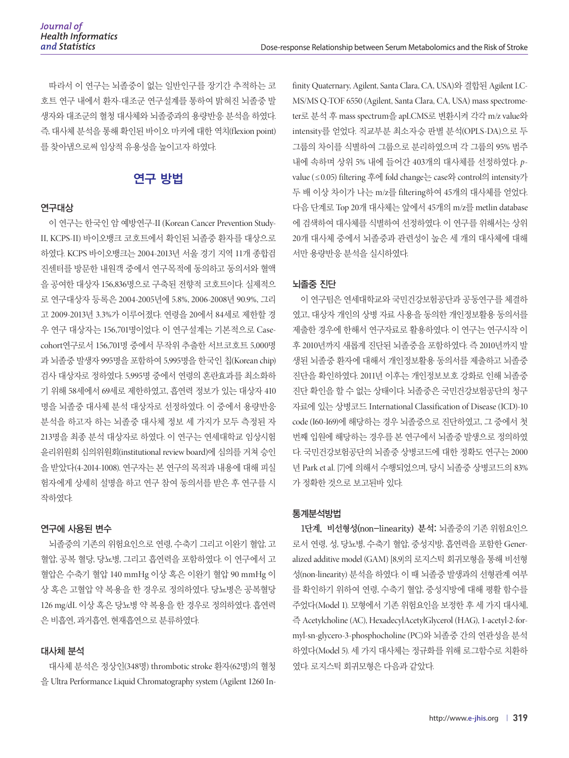따라서 이 연구는 뇌졸중이 없는 일반인구를 장기간 추적하는 코 호트 연구 내에서 환자-대조군 연구설계를 통하여 밝혀진 뇌졸중 발 생자와 대조군의 혈청 대사체와 뇌졸중과의 용량반응 분석을 하였다. 즉, 대사체 분석을 통해 확인된 바이오 마커에 대한 역치(flexion point) 를 찾아냄으로써 임상적 유용성을 높이고자 하였다.

# 연구 방법

#### 연구대상

이 연구는 한국인 암 예방연구-II (Korean Cancer Prevention Study-II, KCPS-II) 바이오뱅크 코호트에서 확인된 뇌졸중 환자를 대상으로 하였다. KCPS 바이오뱅크는 2004-2013년 서울 경기 지역 11개 종합검 진센터를 방문한 내원객 중에서 연구목적에 동의하고 동의서와 혈액 을 공여한 대상자 156,836명으로 구축된 전향적 코호트이다. 실제적으 로 연구대상자 등록은 2004-2005년에 5.8%, 2006-2008년 90.9%, 그리 고 2009-2013년 3.3%가 이루어졌다. 연령을 20에서 84세로 제한할 경 우 연구 대상자는 156,701명이었다. 이 연구설계는 기본적으로 Casecohort연구로서 156,701명 중에서 무작위 추출한 서브코호트 5,000명 과 뇌졸중 발생자 995명을 포함하여 5,995명을 한국인 칩(Korean chip) 검사 대상자로 정하였다. 5,995명 중에서 연령의 혼란효과를 최소화하 기 위해 58세에서 69세로 제한하였고, 흡연력 정보가 있는 대상자 410 명을 뇌졸중 대사체 분석 대상자로 선정하였다. 이 중에서 용량반응 분석을 하고자 하는 뇌졸중 대사체 정보 세 가지가 모두 측정된 자 213명을 최종 분석 대상자로 하였다. 이 연구는 연세대학교 임상시험 윤리위원회 심의위원회(institutional review board)에 심의를 거쳐 승인 을 받았다(4-2014-1008). 연구자는 본 연구의 목적과 내용에 대해 피실 험자에게 상세히 설명을 하고 연구 참여 동의서를 받은 후 연구를 시 작하였다.

### 연구에 사용된 변수

뇌졸중의 기존의 위험요인으로 연령, 수축기 그리고 이완기 혈압, 고 혈압, 공복 혈당, 당뇨병, 그리고 흡연력을 포함하였다. 이 연구에서 고 혈압은 수축기 혈압 140 mmHg 이상 혹은 이완기 혈압 90 mmHg 이 상 혹은 고혈압 약 복용을 한 경우로 정의하였다. 당뇨병은 공복혈당 126 mg/dL 이상 혹은 당뇨병 약 복용을 한 경우로 정의하였다. 흡연력 은 비흡연, 과거흡연, 현재흡연으로 분류하였다.

### 대사체 분석

대사체 분석은 정상인(348명) thrombotic stroke 환자(62명)의 혈청 을 Ultra Performance Liquid Chromatography system (Agilent 1260 Infinity Quaternary, Agilent, Santa Clara, CA, USA)와 결합된 Agilent LC-MS/MS Q-TOF 6550 (Agilent, Santa Clara, CA, USA) mass spectrometer로 분석 후 mass spectrum을 apLCMS로 변환시켜 각각 m/z value와 intensity를 얻었다. 직교부분 최소자승 판별 분석(OPLS-DA)으로 두 그룹의 차이를 식별하여 그룹으로 분리하였으며 각 그룹의 95% 범주 내에 속하며 상위 5% 내에 들어간 403개의 대사체를 선정하였다. *p*value (≤ 0.05) filtering 후에 fold change는 case와 control의 intensity가 두 배 이상 차이가 나는 m/z를 filtering하여 45개의 대사체를 얻었다. 다음 단계로 Top 20개 대사체는 앞에서 45개의 m/z를 metlin database 에 검색하여 대사체를 식별하여 선정하였다. 이 연구를 위해서는 상위 20개 대사체 중에서 뇌졸중과 관련성이 높은 세 개의 대사체에 대해 서만 용량반응 분석을 실시하였다.

#### 뇌졸중 진단

이 연구팀은 연세대학교와 국민건강보험공단과 공동연구를 체결하 였고, 대상자 개인의 상병 자료 사용을 동의한 개인정보활용 동의서를 제출한 경우에 한해서 연구자료로 활용하였다. 이 연구는 연구시작 이 후 2010년까지 새롭게 진단된 뇌졸중을 포함하였다. 즉 2010년까지 발 생된 뇌졸중 환자에 대해서 개인정보활용 동의서를 제출하고 뇌졸중 진단을 확인하였다. 2011년 이후는 개인정보보호 강화로 인해 뇌졸중 진단 확인을 할 수 없는 상태이다. 뇌졸중은 국민건강보험공단의 청구 자료에 있는 상병코드 International Classification of Disease (ICD)-10 code (I60-I69)에 해당하는 경우 뇌졸중으로 진단하였고, 그 중에서 첫 번째 입원에 해당하는 경우를 본 연구에서 뇌졸중 발생으로 정의하였 다. 국민건강보험공단의 뇌졸중 상병코드에 대한 정확도 연구는 2000 년 Park et al. [7]에 의해서 수행되었으며, 당시 뇌졸중 상병코드의 83% 가 정확한 것으로 보고된바 있다.

#### 통계분석방법

1단계, 비선형성(non-linearity) 분석: 뇌졸중의 기존 위험요인으 로서 연령, 성, 당뇨병, 수축기 혈압, 중성지방, 흡연력을 포함한 Generalized additive model (GAM) [8,9]의 로지스틱 회귀모형을 통해 비선형 성(non-linearity) 분석을 하였다. 이 때 뇌졸중 발생과의 선형관계 여부 를 확인하기 위하여 연령, 수축기 혈압, 중성지방에 대해 평활 함수를 주었다(Model 1). 모형에서 기존 위험요인을 보정한 후 세 가지 대사체, 즉 Acetylcholine (AC), HexadecylAcetylGlycerol (HAG), 1-acetyl-2-formyl-sn-glycero-3-phosphocholine (PC)와 뇌졸중 간의 연관성을 분석 하였다(Model 5). 세 가지 대사체는 정규화를 위해 로그함수로 치환하 였다. 로지스틱 회귀모형은 다음과 같았다.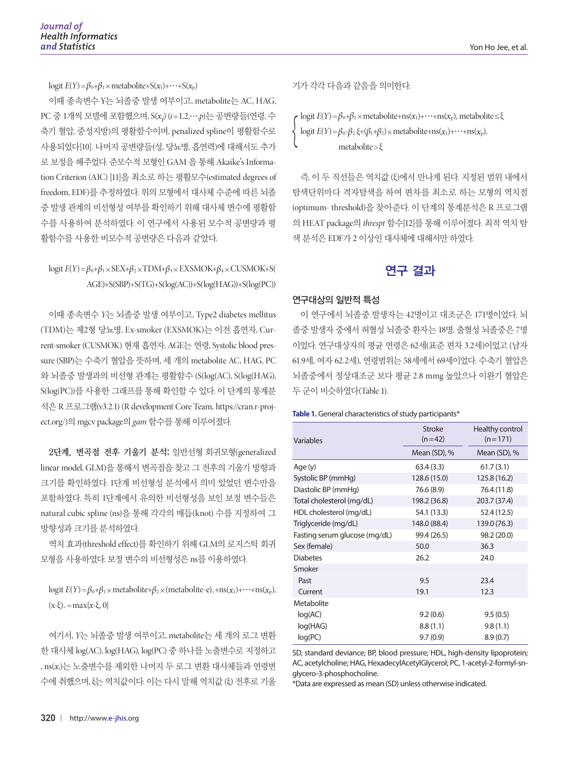logit  $E(Y) = \beta_0 + \beta_1 \times \text{metabolic} + S(x_1) + \cdots + S(x_p)$ 

이때 종속변수 Y는 뇌졸중 발생 여부이고, metabolite는 AC, HAG, PC 중 1개씩 모델에 포함했으며, S(*xi* ) (*i*=1,2,…,*p*)는 공변량들(연령, 수 축기 혈압, 중성지방)의 평활함수이며, penalized spline이 평활함수로 사용되었다[10]. 나머지 공변량들(성, 당뇨병, 흡연력)에 대해서도 추가 로 보정을 해주었다. 준모수적 모형인 GAM 을 통해 Akaike's Information Criterion (AIC) [11]을 최소로 하는 평활모수(estimated degrees of freedom, EDF)를 추정하였다. 위의 모형에서 대사체 수준에 따른 뇌졸 중 발생 관계의 비선형성 여부를 확인하기 위해 대사체 변수에 평활함 수를 사용하여 분석하였다. 이 연구에서 사용된 모수적 공변량과 평 활함수를 사용한 비모수적 공변량은 다음과 같았다.

# logit  $E(Y) = \beta_0 + \beta_1 \times \text{SEX} + \beta_2 \times \text{TDM} + \beta_3 \times \text{EXSMOK} + \beta_4 \times \text{CUSMOK} + S$ ( AGE)+S(SBP)+S(TG)+S(log(AC))+S(log(HAG))+S(log(PC))

이때 종속변수 *Y*는 뇌졸중 발생 여부이고, Type2 diabetes mellitus (TDM)는 제2형 당뇨병, Ex-smoker (EXSMOK)는 이전 흡연자, Current-smoker (CUSMOK) 현재 흡연자, AGE는 연령, Systolic blood pressure (SBP)는 수축기 혈압을 뜻하며, 세 개의 metabolite AC, HAG, PC 와 뇌졸중 발생과의 비선형 관계는 평활함수 (S(log(AC), S(log(HAG), S(log(PC))를 사용한 그래프를 통해 확인할 수 있다. 이 단계의 통계분 석은 R 프로그램(v3.2.1) (R development Core Team, https://cran.r-project.org/)의 mgcv package의 *gam* 함수를 통해 이루어졌다.

2단계, 변곡점 전후 기울기 분석: 일반선형 회귀모형(generalized linear model, GLM)을 통해서 변곡점을 찾고 그 전후의 기울기 방향과 크기를 확인하였다. 1단계 비선형성 분석에서 의미 있었던 변수만을 포함하였다. 특히 1단계에서 유의한 비선형성을 보인 보정 변수들은 natural cubic spline (ns)을 통해 각각의 매듭(knot) 수를 지정하여 그 방향성과 크기를 분석하였다.

역치 효과(threshold effect)를 확인하기 위해 GLM의 로지스틱 회귀 모형을 사용하였다. 보정 변수의 비선형성은 ns를 이용하였다.

logit  $E(Y) = \beta_0 + \beta_1 \times$  metabolite+ $\beta_2 \times$ (metabolite-e)<sub>+</sub>+ns( $x_1$ )+…+ns( $x_p$ ),  $(x-\xi)$  = max $\{x-\xi, 0\}$ 

여기서, *Y*는 뇌졸중 발생 여부이고, metabolite는 세 개의 로그 변환 한 대사체 log(AC), log(HAG), log(PC) 중 하나를 노출변수로 지정하고 , ns(*x*i)는 노출변수를 제외한 나머지 두 로그 변환 대사체들과 연령변 수에 취했으며, ξ는 역치값이다. 이는 다시 말해 역치값 (ξ) 전후로 기울 기가 각각 다음과 같음을 의미한다.

logit  $E(Y) = \beta_0 + \beta_1 \times$  metabolite+ns( $x_1$ )+…+ns( $x_p$ ), metabolite  $\leq \xi$ logit  $E(Y) = \beta_0 - \beta_2 \xi + (\beta_1 + \beta_2) \times \text{metabolic} + \text{ns}(x_1) + \cdots + \text{ns}(x_p),$ metabolite >ξ

즉, 이 두 직선들은 역치값 (ξ)에서 만나게 된다. 지정된 범위 내에서 탐색단위마다 격자탐색을 하여 편차를 최소로 하는 모형의 역치점 (optimum- threshold)을 찾아준다. 이 단계의 통계분석은 R 프로그램 의 HEAT package의 *threspt* 함수[12]를 통해 이루어졌다. 최적 역치 탐 색 분석은 EDF가 2 이상인 대사체에 대해서만 하였다.

# 연구 결과

### 연구대상의 일반적 특성

이 연구에서 뇌졸중 발생자는 42명이고 대조군은 171명이었다. 뇌 졸중 발생자 중에서 허혈성 뇌졸중 환자는 18명, 출혈성 뇌졸중은 7명 이었다. 연구대상자의 평균 연령은 62세(표준 편차 3.2세)이었고 (남자 61.9세, 여자 62.2세), 연령범위는 58세에서 69세이었다. 수축기 혈압은 뇌졸중에서 정상대조군 보다 평균 2.8 mmg 높았으나 이완기 혈압은 두 군이 비슷하였다(Table 1).

#### **Table 1.** General characteristics of study participants\*

| Variables                     | <b>Stroke</b><br>$(n=42)$ | Healthy control<br>$(n=171)$<br>Mean (SD), % |  |  |
|-------------------------------|---------------------------|----------------------------------------------|--|--|
|                               | Mean (SD), %              |                                              |  |  |
| Age (y)                       | 63.4(3.3)                 | 61.7(3.1)                                    |  |  |
| Systolic BP (mmHg)            | 128.6 (15.0)              | 125.8 (16.2)                                 |  |  |
| Diastolic BP (mmHg)           | 76.6 (8.9)                | 76.4 (11.8)                                  |  |  |
| Total cholesterol (mg/dL)     | 198.2 (36.8)              | 203.7 (37.4)                                 |  |  |
| HDL cholesterol (mg/dL)       | 54.1 (13.3)               | 52.4 (12.5)                                  |  |  |
| Triglyceride (mg/dL)          | 148.0 (88.4)              | 139.0 (76.3)                                 |  |  |
| Fasting serum glucose (mg/dL) | 99.4 (26.5)               | 98.2 (20.0)                                  |  |  |
| Sex (female)                  | 50.0                      | 36.3                                         |  |  |
| <b>Diabetes</b>               | 26.2                      | 24.0                                         |  |  |
| Smoker                        |                           |                                              |  |  |
| Past                          | 9.5                       | 23.4                                         |  |  |
| Current                       | 19.1                      | 12.3                                         |  |  |
| Metabolite                    |                           |                                              |  |  |
| log(AC)                       | 9.2(0.6)                  | 9.5(0.5)                                     |  |  |
| log(HAG)                      | 8.8(1.1)                  | 9.8(1.1)                                     |  |  |
| log(PC)                       | 9.7(0.9)                  | 8.9(0.7)                                     |  |  |

SD, standard deviance; BP, blood pressure; HDL, high-density lipoprotein; AC, acetylcholine; HAG, HexadecylAcetylGlycerol; PC, 1-acetyl-2-formyl-snglycero-3-phosphocholine.

\*Data are expressed as mean (SD) unless otherwise indicated.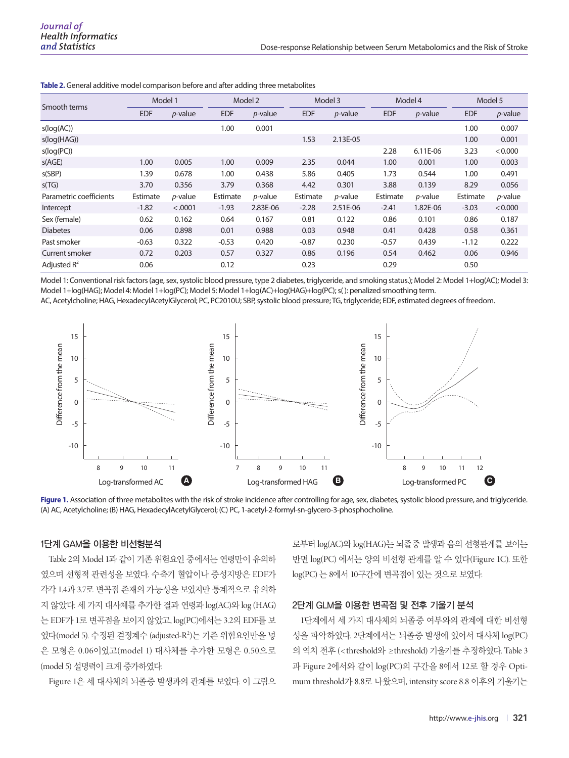| Smooth terms            | Model 1    |                 | Model 2    |            | Model 3    |                 | Model 4    |                 | Model 5    |            |
|-------------------------|------------|-----------------|------------|------------|------------|-----------------|------------|-----------------|------------|------------|
|                         | <b>EDF</b> | $p$ -value      | <b>EDF</b> | $p$ -value | <b>EDF</b> | $p$ -value      | <b>EDF</b> | $p$ -value      | <b>EDF</b> | $p$ -value |
| s(log(AC))              |            |                 | 1.00       | 0.001      |            |                 |            |                 | 1.00       | 0.007      |
| s(log(HAG))             |            |                 |            |            | 1.53       | 2.13E-05        |            |                 | 1.00       | 0.001      |
| s(log(PC))              |            |                 |            |            |            |                 | 2.28       | 6.11E-06        | 3.23       | < 0.000    |
| s(AGE)                  | 1.00       | 0.005           | 1.00       | 0.009      | 2.35       | 0.044           | 1.00       | 0.001           | 1.00       | 0.003      |
| s(SBP)                  | .39        | 0.678           | 1.00       | 0.438      | 5.86       | 0.405           | 1.73       | 0.544           | 1.00       | 0.491      |
| s(TG)                   | 3.70       | 0.356           | 3.79       | 0.368      | 4.42       | 0.301           | 3.88       | 0.139           | 8.29       | 0.056      |
| Parametric coefficients | Estimate   | <i>p</i> -value | Estimate   | $p$ -value | Estimate   | <i>p</i> -value | Estimate   | <i>p</i> -value | Estimate   | $p$ -value |
| Intercept               | $-1.82$    | < .0001         | $-1.93$    | 2.83E-06   | $-2.28$    | 2.51E-06        | $-2.41$    | 1.82E-06        | $-3.03$    | < 0.000    |
| Sex (female)            | 0.62       | 0.162           | 0.64       | 0.167      | 0.81       | 0.122           | 0.86       | 0.101           | 0.86       | 0.187      |
| <b>Diabetes</b>         | 0.06       | 0.898           | 0.01       | 0.988      | 0.03       | 0.948           | 0.41       | 0.428           | 0.58       | 0.361      |
| Past smoker             | $-0.63$    | 0.322           | $-0.53$    | 0.420      | $-0.87$    | 0.230           | $-0.57$    | 0.439           | $-1.12$    | 0.222      |
| Current smoker          | 0.72       | 0.203           | 0.57       | 0.327      | 0.86       | 0.196           | 0.54       | 0.462           | 0.06       | 0.946      |
| Adjusted $R^2$          | 0.06       |                 | 0.12       |            | 0.23       |                 | 0.29       |                 | 0.50       |            |

**Table 2.** General additive model comparison before and after adding three metabolites

Model 1: Conventional risk factors (age, sex, systolic blood pressure, type 2 diabetes, triglyceride, and smoking status.); Model 2: Model 1+log(AC); Model 3: Model 1+log(HAG); Model 4: Model 1+log(PC); Model 5: Model 1+log(AC)+log(HAG)+log(PC); s( ): penalized smoothing term.

AC, Acetylcholine; HAG, HexadecylAcetylGlycerol; PC, PC2010U; SBP, systolic blood pressure; TG, triglyceride; EDF, estimated degrees of freedom.



Figure 1. Association of three metabolites with the risk of stroke incidence after controlling for age, sex, diabetes, systolic blood pressure, and triglyceride. (A) AC, Acetylcholine; (B) HAG, HexadecylAcetylGlycerol; (C) PC, 1-acetyl-2-formyl-sn-glycero-3-phosphocholine.

#### 1단계 GAM을 이용한 비선형분석

Table 2의 Model 1과 같이 기존 위험요인 중에서는 연령만이 유의하 였으며 선형적 관련성을 보였다. 수축기 혈압이나 중성지방은 EDF가 각각 1.4과 3.7로 변곡점 존재의 가능성을 보였지만 통계적으로 유의하 지 않았다. 세 가지 대사체를 추가한 결과 연령과 log(AC)와 log (HAG) 는 EDF가 1로 변곡점을 보이지 않았고, log(PC)에서는 3.2의 EDF를 보 였다(model 5). 수정된 결정계수 (adjusted-R²)는 기존 위험요인만을 넣 은 모형은 0.06이었고(model 1) 대사체를 추가한 모형은 0.50으로 (model 5) 설명력이 크게 증가하였다.

Figure 1은 세 대사체의 뇌졸중 발생과의 관계를 보였다. 이 그림으

로부터 log(AC)와 log(HAG)는 뇌졸중 발생과 음의 선형관계를 보이는 반면 log(PC) 에서는 양의 비선형 관계를 알 수 있다(Figure 1C). 또한 log(PC) 는 8에서 10구간에 변곡점이 있는 것으로 보였다.

#### 2단계 GLM을 이용한 변곡점 및 전후 기울기 분석

1단계에서 세 가지 대사체의 뇌졸중 여부와의 관계에 대한 비선형 성을 파악하였다. 2단계에서는 뇌졸중 발생에 있어서 대사체 log(PC) 의 역치 전후 (< threshold와 ≥threshold) 기울기를 추정하였다. Table 3 과 Figure 2에서와 같이 log(PC)의 구간을 8에서 12로 할 경우 Optimum threshold가 8.8로 나왔으며, intensity score 8.8 이후의 기울기는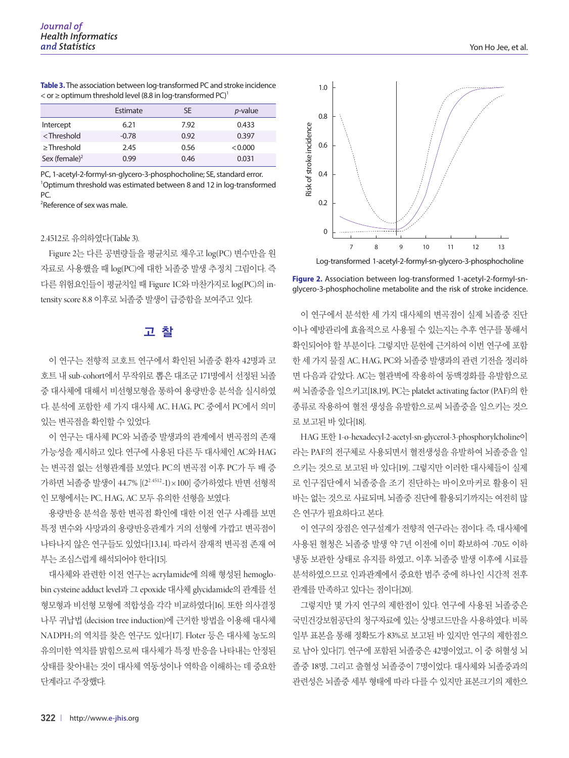**Table 3.** The association between log-transformed PC and stroke incidence  $<$  or  $\ge$  optimum threshold level (8.8 in log-transformed PC)<sup>1</sup>

|                                                                                       | Estimate | SE   | <i>p</i> -value |
|---------------------------------------------------------------------------------------|----------|------|-----------------|
| Intercept                                                                             | 6.21     | 7.92 | 0.433           |
| <threshold< td=""><td><math>-0.78</math></td><td>0.92</td><td>0.397</td></threshold<> | $-0.78$  | 0.92 | 0.397           |
| $\geq$ Threshold                                                                      | 2.45     | 0.56 | < 0.000         |
| Sex (female) <sup>2</sup>                                                             | 0.99     | 0.46 | 0.031           |

PC, 1-acetyl-2-formyl-sn-glycero-3-phosphocholine; SE, standard error. <sup>1</sup>Optimum threshold was estimated between 8 and 12 in log-transformed PC.

2 Reference of sex was male.

#### 2.4512로 유의하였다(Table 3).

Figure 2는 다른 공변량들을 평균치로 채우고 log(PC) 변수만을 원 자료로 사용했을 때 log(PC)에 대한 뇌졸중 발생 추정치 그림이다. 즉 다른 위험요인들이 평균치일 때 Figure 1C와 마찬가지로 log(PC)의 intensity score 8.8 이후로 뇌졸중 발생이 급증함을 보여주고 있다.

# 고 찰

이 연구는 전향적 코호트 연구에서 확인된 뇌졸중 환자 42명과 코 호트 내 sub-cohort에서 무작위로 뽑은 대조군 171명에서 선정된 뇌졸 중 대사체에 대해서 비선형모형을 통하여 용량반응 분석을 실시하였 다. 분석에 포함한 세 가지 대사체 AC, HAG, PC 중에서 PC에서 의미 있는 변곡점을 확인할 수 있었다.

이 연구는 대사체 PC와 뇌졸중 발생과의 관계에서 변곡점의 존재 가능성을 제시하고 있다. 연구에 사용된 다른 두 대사체인 AC와 HAG 는 변곡점 없는 선형관계를 보였다. PC의 변곡점 이후 PC가 두 배 증 가하면 뇌졸중 발생이 44.7% [(22.4512-1)×100] 증가하였다. 반면 선형적 인 모형에서는 PC, HAG, AC 모두 유의한 선형을 보였다.

용량반응 분석을 통한 변곡점 확인에 대한 이전 연구 사례를 보면 특정 변수와 사망과의 용량반응관계가 거의 선형에 가깝고 변곡점이 나타나지 않은 연구들도 있었다[13,14]. 따라서 잠재적 변곡점 존재 여 부는 조심스럽게 해석되어야 한다[15].

대사체와 관련한 이전 연구는 acrylamide에 의해 형성된 hemoglobin cysteine adduct level과 그 epoxide 대사체 glycidamide의 관계를 선 형모형과 비선형 모형에 적합성을 각각 비교하였다[16]. 또한 의사결정 나무 귀납법 (decision tree induction)에 근거한 방법을 이용해 대사체 NADPH2의 역치를 찾은 연구도 있다[17]. Floter 등은 대사체 농도의 유의미한 역치를 밝힘으로써 대사체가 특정 반응을 나타내는 안정된 상태를 찾아내는 것이 대사체 역동성이나 역학을 이해하는 데 중요한 단계라고 주장했다.



**Figure 2.** Association between log-transformed 1-acetyl-2-formyl-snglycero-3-phosphocholine metabolite and the risk of stroke incidence.

이 연구에서 분석한 세 가지 대사체의 변곡점이 실제 뇌졸중 진단 이나 예방관리에 효율적으로 사용될 수 있는지는 추후 연구를 통해서 확인되어야 할 부분이다. 그렇지만 문헌에 근거하여 이번 연구에 포함 한 세 가지 물질 AC, HAG, PC와 뇌졸중 발생과의 관련 기전을 정리하 면 다음과 같았다. AC는 혈관벽에 작용하여 동맥경화를 유발함으로 써 뇌졸중을 일으키고[18,19], PC는 platelet activating factor (PAF)의 한 종류로 작용하여 혈전 생성을 유발함으로써 뇌졸중을 일으키는 것으 로 보고된 바 있다[18].

HAG 또한 1-o-hexadecyl-2-acetyl-sn-glycerol-3-phosphorylcholine이 라는 PAF의 전구체로 사용되면서 혈전생성을 유발하여 뇌졸중을 일 으키는 것으로 보고된 바 있다[19]. 그렇지만 이러한 대사체들이 실제 로 인구집단에서 뇌졸중을 조기 진단하는 바이오마커로 활용이 된 바는 없는 것으로 사료되며, 뇌졸중 진단에 활용되기까지는 여전히 많 은 연구가 필요하다고 본다.

이 연구의 장점은 연구설계가 전향적 연구라는 점이다. 즉, 대사체에 사용된 혈청은 뇌졸중 발생 약 7년 이전에 이미 확보하여 -70도 이하 냉동 보관한 상태로 유지를 하였고, 이후 뇌졸중 발생 이후에 시료를 분석하였으므로 인과관계에서 중요한 범주 중에 하나인 시간적 전후 관계를 만족하고 있다는 점이다[20].

그렇지만 몇 가지 연구의 제한점이 있다. 연구에 사용된 뇌졸중은 국민건강보험공단의 청구자료에 있는 상병코드만을 사용하였다. 비록 일부 표본을 통해 정확도가 83%로 보고된 바 있지만 연구의 제한점으 로 남아 있다[7]. 연구에 포함된 뇌졸중은 42명이었고, 이 중 허혈성 뇌 졸중 18명, 그리고 출혈성 뇌졸중이 7명이었다. 대사체와 뇌졸중과의 관련성은 뇌졸중 세부 형태에 따라 다를 수 있지만 표본크기의 제한으